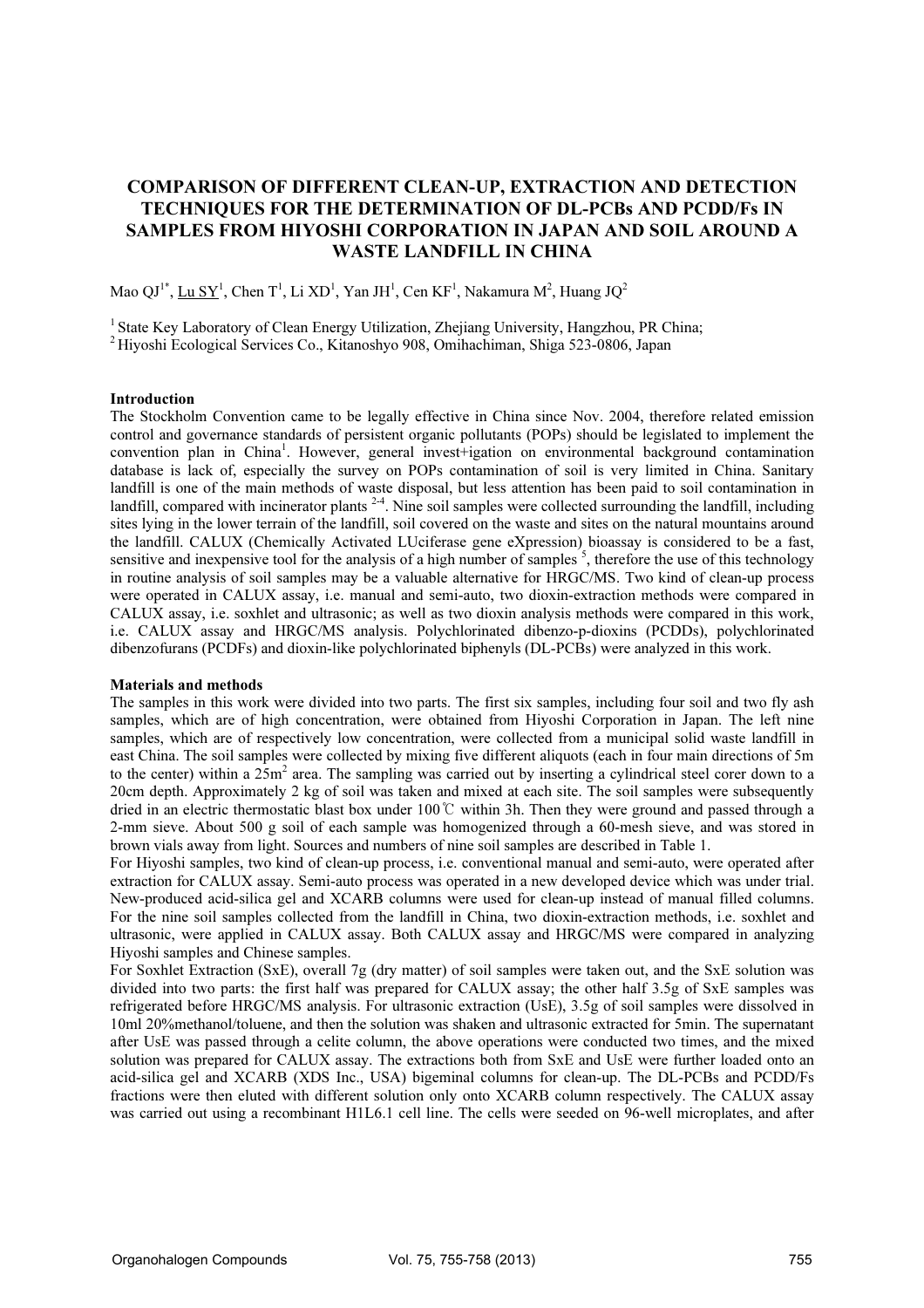# COMPARISON OF DIFFERENT CLEAN-UP, EXTRACTION AND DETECTION TECHNIQUES FOR THE DETERMINATION OF DL-PCBs AND PCDD/Fs IN SAMPLES FROM HIYOSHI CORPORATION IN JAPAN AND SOIL AROUND A WASTE LANDFILL IN CHINA

Mao  $\mathrm{QJ}^{1^*}, \underline{\mathrm{Lu} \mathrm{~SY}^1},$  Chen T $^1$ , Li XD $^1$ , Yan JH $^1$ , Cen KF $^1$ , Nakamura M $^2$ , Huang J $\mathrm{Q}^2$ 

<sup>1</sup> State Key Laboratory of Clean Energy Utilization, Zhejiang University, Hangzhou, PR China; <sup>2</sup>Hiyoshi Ecological Services Co., Kitanoshyo 908, Omihachiman, Shiga 523-0806, Japan

### Introduction

The Stockholm Convention came to be legally effective in China since Nov. 2004, therefore related emission control and governance standards of persistent organic pollutants (POPs) should be legislated to implement the convention plan in China<sup>1</sup>. However, general invest+igation on environmental background contamination database is lack of, especially the survey on POPs contamination of soil is very limited in China. Sanitary landfill is one of the main methods of waste disposal, but less attention has been paid to soil contamination in landfill, compared with incinerator plants  $2-4$ . Nine soil samples were collected surrounding the landfill, including sites lying in the lower terrain of the landfill, soil covered on the waste and sites on the natural mountains around the landfill. CALUX (Chemically Activated LUciferase gene eXpression) bioassay is considered to be a fast, sensitive and inexpensive tool for the analysis of a high number of samples  $\overline{s}$ , therefore the use of this technology in routine analysis of soil samples may be a valuable alternative for HRGC/MS. Two kind of clean-up process were operated in CALUX assay, i.e. manual and semi-auto, two dioxin-extraction methods were compared in CALUX assay, i.e. soxhlet and ultrasonic; as well as two dioxin analysis methods were compared in this work, i.e. CALUX assay and HRGC/MS analysis. Polychlorinated dibenzo-p-dioxins (PCDDs), polychlorinated dibenzofurans (PCDFs) and dioxin-like polychlorinated biphenyls (DL-PCBs) were analyzed in this work.

#### Materials and methods

The samples in this work were divided into two parts. The first six samples, including four soil and two fly ash samples, which are of high concentration, were obtained from Hiyoshi Corporation in Japan. The left nine samples, which are of respectively low concentration, were collected from a municipal solid waste landfill in east China. The soil samples were collected by mixing five different aliquots (each in four main directions of 5m to the center) within a  $25m^2$  area. The sampling was carried out by inserting a cylindrical steel corer down to a 20cm depth. Approximately 2 kg of soil was taken and mixed at each site. The soil samples were subsequently dried in an electric thermostatic blast box under 100℃ within 3h. Then they were ground and passed through a 2-mm sieve. About 500 g soil of each sample was homogenized through a 60-mesh sieve, and was stored in brown vials away from light. Sources and numbers of nine soil samples are described in Table 1.

For Hiyoshi samples, two kind of clean-up process, i.e. conventional manual and semi-auto, were operated after extraction for CALUX assay. Semi-auto process was operated in a new developed device which was under trial. New-produced acid-silica gel and XCARB columns were used for clean-up instead of manual filled columns. For the nine soil samples collected from the landfill in China, two dioxin-extraction methods, i.e. soxhlet and ultrasonic, were applied in CALUX assay. Both CALUX assay and HRGC/MS were compared in analyzing Hiyoshi samples and Chinese samples.

For Soxhlet Extraction (SxE), overall 7g (dry matter) of soil samples were taken out, and the SxE solution was divided into two parts: the first half was prepared for CALUX assay; the other half 3.5g of SxE samples was refrigerated before HRGC/MS analysis. For ultrasonic extraction (UsE), 3.5g of soil samples were dissolved in 10ml 20%methanol/toluene, and then the solution was shaken and ultrasonic extracted for 5min. The supernatant after UsE was passed through a celite column, the above operations were conducted two times, and the mixed solution was prepared for CALUX assay. The extractions both from SxE and UsE were further loaded onto an acid-silica gel and XCARB (XDS Inc., USA) bigeminal columns for clean-up. The DL-PCBs and PCDD/Fs fractions were then eluted with different solution only onto XCARB column respectively. The CALUX assay was carried out using a recombinant H1L6.1 cell line. The cells were seeded on 96-well microplates, and after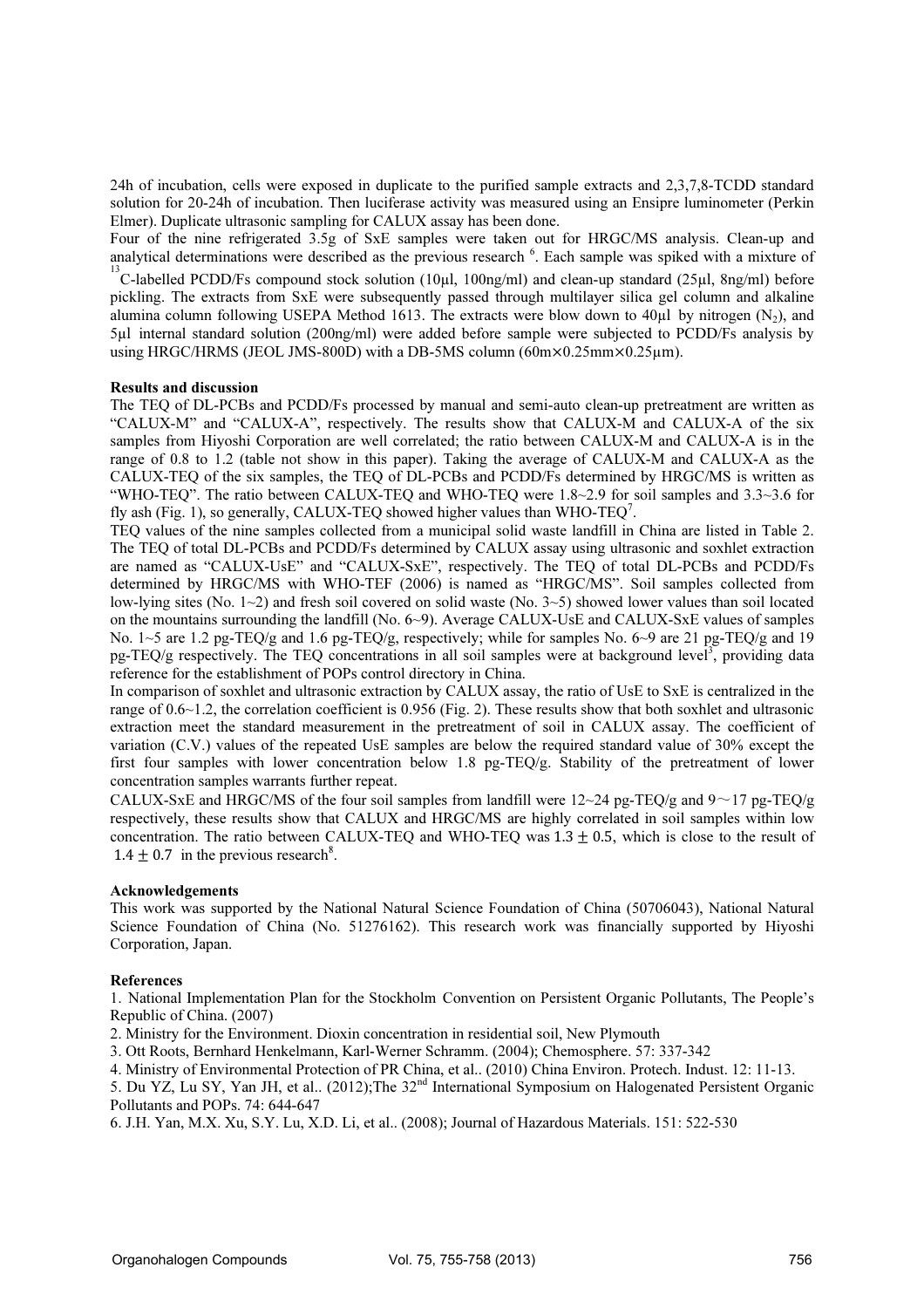24h of incubation, cells were exposed in duplicate to the purified sample extracts and 2,3,7,8-TCDD standard solution for 20-24h of incubation. Then luciferase activity was measured using an Ensipre luminometer (Perkin Elmer). Duplicate ultrasonic sampling for CALUX assay has been done.

Four of the nine refrigerated 3.5g of SxE samples were taken out for HRGC/MS analysis. Clean-up and analytical determinations were described as the previous research  $6$ . Each sample was spiked with a mixture of  $13$ 

 $C^2$ -labelled PCDD/Fs compound stock solution (10µl, 100ng/ml) and clean-up standard (25µl, 8ng/ml) before pickling. The extracts from SxE were subsequently passed through multilayer silica gel column and alkaline alumina column following USEPA Method 1613. The extracts were blow down to 40 $\mu$ l by nitrogen (N<sub>2</sub>), and 5µl internal standard solution (200ng/ml) were added before sample were subjected to PCDD/Fs analysis by using HRGC/HRMS (JEOL JMS-800D) with a DB-5MS column (60m×0.25mm×0.25µm).

#### Results and discussion

The TEQ of DL-PCBs and PCDD/Fs processed by manual and semi-auto clean-up pretreatment are written as "CALUX-M" and "CALUX-A", respectively. The results show that CALUX-M and CALUX-A of the six samples from Hiyoshi Corporation are well correlated; the ratio between CALUX-M and CALUX-A is in the range of 0.8 to 1.2 (table not show in this paper). Taking the average of CALUX-M and CALUX-A as the CALUX-TEQ of the six samples, the TEQ of DL-PCBs and PCDD/Fs determined by HRGC/MS is written as "WHO-TEQ". The ratio between CALUX-TEQ and WHO-TEQ were 1.8~2.9 for soil samples and 3.3~3.6 for fly ash (Fig. 1), so generally, CALUX-TEQ showed higher values than WHO-TEQ<sup>7</sup>.

TEQ values of the nine samples collected from a municipal solid waste landfill in China are listed in Table 2. The TEQ of total DL-PCBs and PCDD/Fs determined by CALUX assay using ultrasonic and soxhlet extraction are named as "CALUX-UsE" and "CALUX-SxE", respectively. The TEQ of total DL-PCBs and PCDD/Fs determined by HRGC/MS with WHO-TEF (2006) is named as "HRGC/MS". Soil samples collected from low-lying sites (No. 1~2) and fresh soil covered on solid waste (No. 3~5) showed lower values than soil located on the mountains surrounding the landfill (No. 6~9). Average CALUX-UsE and CALUX-SxE values of samples No. 1~5 are 1.2 pg-TEQ/g and 1.6 pg-TEQ/g, respectively; while for samples No. 6~9 are 21 pg-TEQ/g and 19 pg-TEQ/g respectively. The TEQ concentrations in all soil samples were at background level<sup>3</sup>, providing data reference for the establishment of POPs control directory in China.

In comparison of soxhlet and ultrasonic extraction by CALUX assay, the ratio of UsE to SxE is centralized in the range of 0.6~1.2, the correlation coefficient is 0.956 (Fig. 2). These results show that both soxhlet and ultrasonic extraction meet the standard measurement in the pretreatment of soil in CALUX assay. The coefficient of variation (C.V.) values of the repeated UsE samples are below the required standard value of 30% except the first four samples with lower concentration below 1.8 pg-TEQ/g. Stability of the pretreatment of lower concentration samples warrants further repeat.

CALUX-SxE and HRGC/MS of the four soil samples from landfill were  $12{\sim}24$  pg-TEQ/g and  $9{\sim}17$  pg-TEQ/g respectively, these results show that CALUX and HRGC/MS are highly correlated in soil samples within low concentration. The ratio between CALUX-TEQ and WHO-TEQ was  $1.3 + 0.5$ , which is close to the result of  $1.4 \pm 0.7$  in the previous research<sup>8</sup>.

## Acknowledgements

This work was supported by the National Natural Science Foundation of China (50706043), National Natural Science Foundation of China (No. 51276162). This research work was financially supported by Hiyoshi Corporation, Japan.

## References

1. National Implementation Plan for the Stockholm Convention on Persistent Organic Pollutants, The People's Republic of China. (2007)

2. Ministry for the Environment. Dioxin concentration in residential soil, New Plymouth

3. Ott Roots, Bernhard Henkelmann, Karl-Werner Schramm. (2004); Chemosphere. 57: 337-342

4. Ministry of Environmental Protection of PR China, et al.. (2010) China Environ. Protech. Indust. 12: 11-13.

5. Du YZ, Lu SY, Yan JH, et al.. (2012);The 32nd International Symposium on Halogenated Persistent Organic Pollutants and POPs. 74: 644-647

6. J.H. Yan, M.X. Xu, S.Y. Lu, X.D. Li, et al.. (2008); Journal of Hazardous Materials. 151: 522-530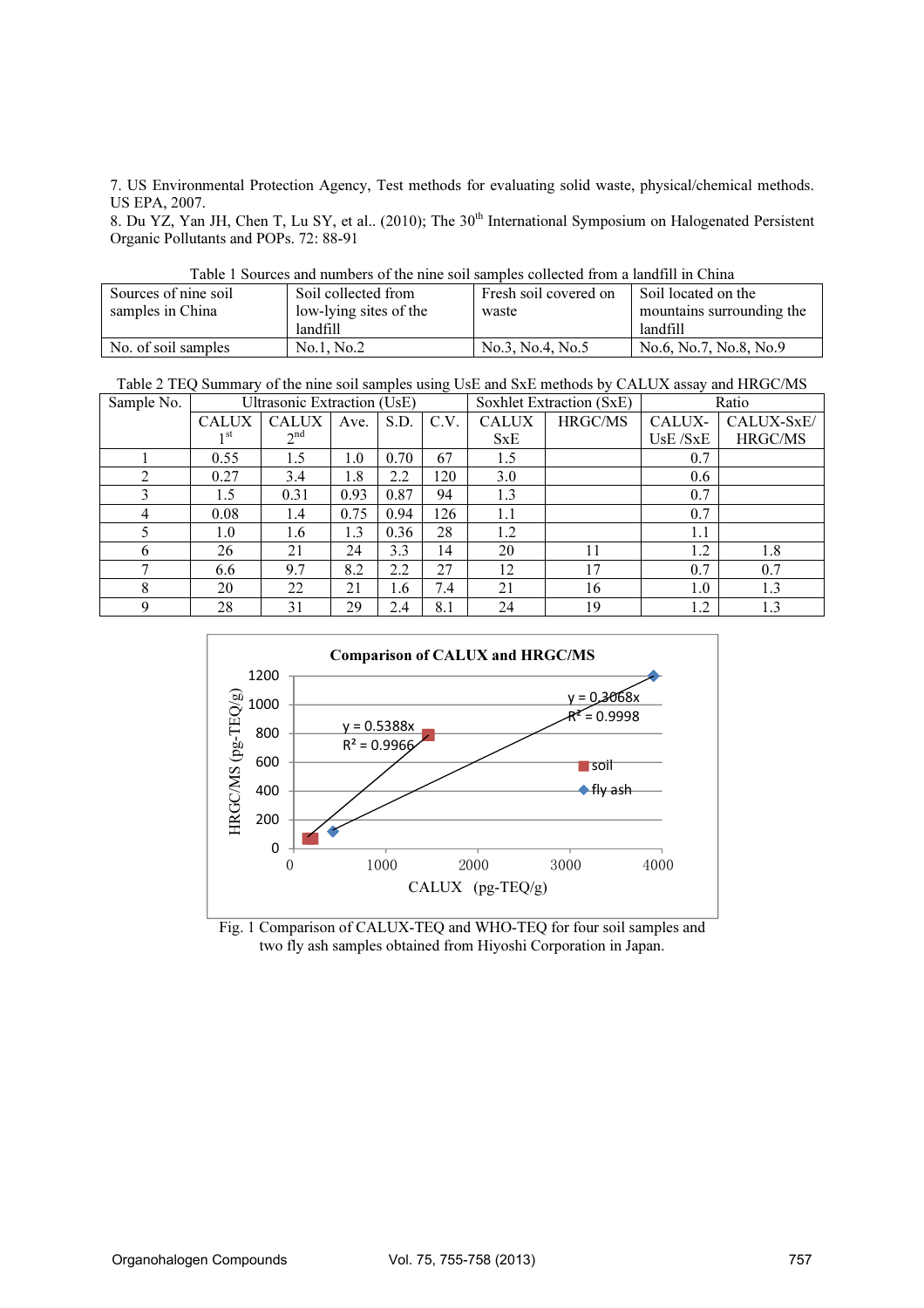7. US Environmental Protection Agency, Test methods for evaluating solid waste, physical/chemical methods. US EPA, 2007.

8. Du YZ, Yan JH, Chen T, Lu SY, et al.. (2010); The 30<sup>th</sup> International Symposium on Halogenated Persistent Organic Pollutants and POPs. 72: 88-91

| Table T Sources and numbers of the lime son samples conceted from a familiar Clima |                        |                       |                           |  |  |  |  |  |  |  |
|------------------------------------------------------------------------------------|------------------------|-----------------------|---------------------------|--|--|--|--|--|--|--|
| Sources of nine soil                                                               | Soil collected from    | Fresh soil covered on | Soil located on the       |  |  |  |  |  |  |  |
| samples in China                                                                   | low-lying sites of the | waste                 | mountains surrounding the |  |  |  |  |  |  |  |
|                                                                                    | landfill               |                       | landfill                  |  |  |  |  |  |  |  |
| No. of soil samples                                                                | No.1, No.2             | No.3, No.4, No.5      | No.6, No.7, No.8, No.9    |  |  |  |  |  |  |  |

Table 1 Sources and numbers of the nine soil samples collected from a landfill in China

Table 2 TEQ Summary of the nine soil samples using UsE and SxE methods by CALUX assay and HRGC/MS

| Sample No.     | Ultrasonic Extraction (UsE) |                 |      |      | Soxhlet Extraction (SxE) |              | Ratio   |          |            |
|----------------|-----------------------------|-----------------|------|------|--------------------------|--------------|---------|----------|------------|
|                | <b>CALUX</b>                | <b>CALUX</b>    | Ave. | S.D. | C.V.                     | <b>CALUX</b> | HRGC/MS | CALUX-   | CALUX-SxE/ |
|                | 1 st                        | 2 <sup>nd</sup> |      |      |                          | SxE          |         | UsE /SxE | HRGC/MS    |
|                | 0.55                        | 1.5             | 1.0  | 0.70 | 67                       | 1.5          |         | 0.7      |            |
| $\overline{2}$ | 0.27                        | 3.4             | 1.8  | 2.2  | 120                      | 3.0          |         | 0.6      |            |
| 3              | 1.5                         | 0.31            | 0.93 | 0.87 | 94                       | 1.3          |         | 0.7      |            |
| 4              | 0.08                        | 1.4             | 0.75 | 0.94 | 126                      | 1.1          |         | 0.7      |            |
|                | 1.0                         | 1.6             | 1.3  | 0.36 | 28                       | 1.2          |         | 1.1      |            |
| 6              | 26                          | 21              | 24   | 3.3  | 14                       | 20           | 11      | 1.2      | 1.8        |
| ⇁              | 6.6                         | 9.7             | 8.2  | 2.2  | 27                       | 12           | 17      | 0.7      | 0.7        |
| 8              | 20                          | 22              | 21   | 1.6  | 7.4                      | 21           | 16      | 1.0      | 1.3        |
| 9              | 28                          | 31              | 29   | 2.4  | 8.1                      | 24           | 19      | 1.2      | 1.3        |